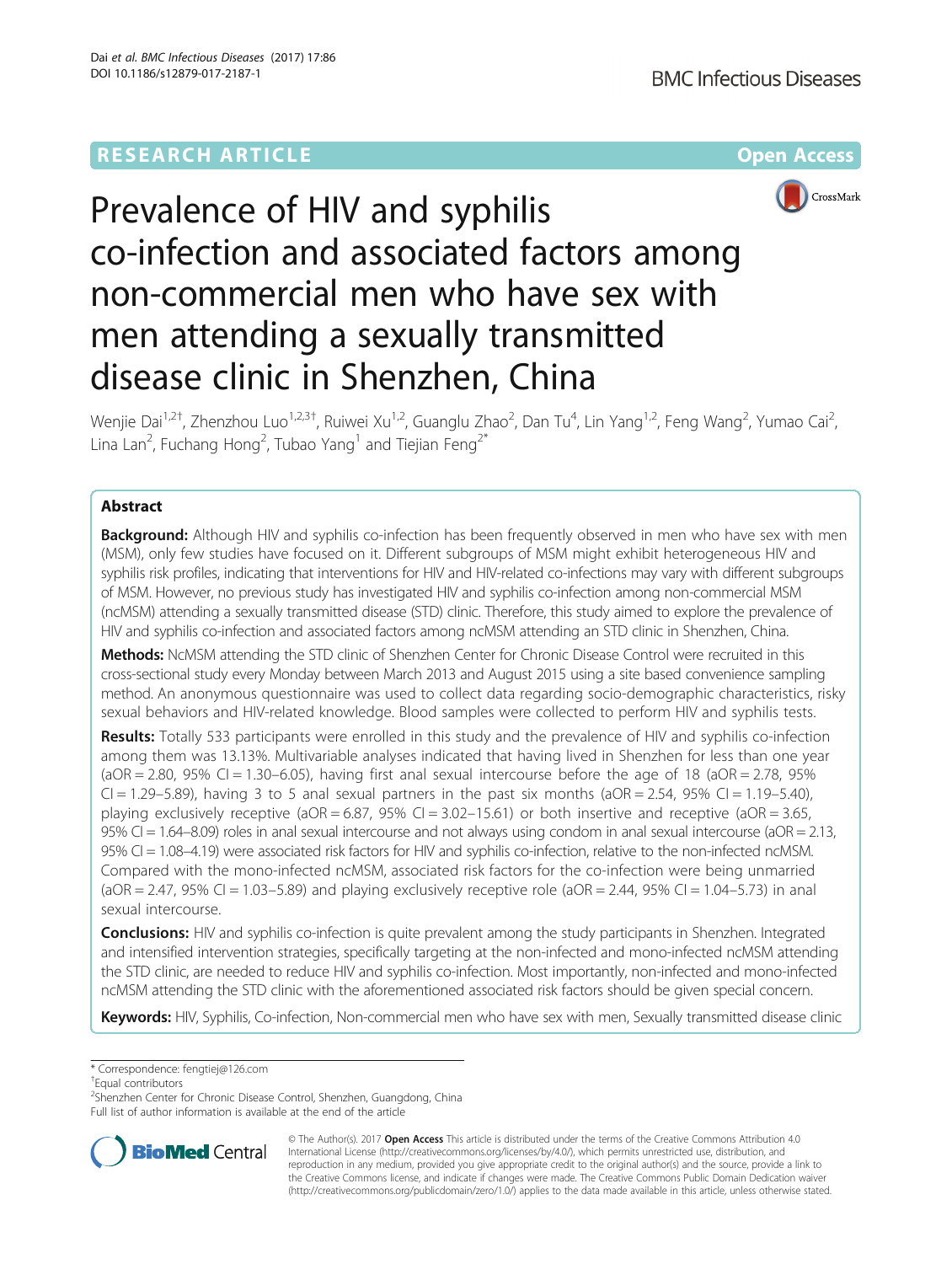# **RESEARCH ARTICLE Example 2014 12:30 The Company Access** (RESEARCH ARTICLE





# Prevalence of HIV and syphilis co-infection and associated factors among non-commercial men who have sex with men attending a sexually transmitted disease clinic in Shenzhen, China

Wenjie Dai<sup>1,2†</sup>, Zhenzhou Luo<sup>1,2,3†</sup>, Ruiwei Xu<sup>1,2</sup>, Guanglu Zhao<sup>2</sup>, Dan Tu<sup>4</sup>, Lin Yang<sup>1,2</sup>, Feng Wang<sup>2</sup>, Yumao Cai<sup>2</sup> .<br>, Lina Lan $^2$ , Fuchang Hong $^2$ , Tubao Yang $^1$  and Tiejian Feng $^{2^\ast}$ 

# Abstract

**Background:** Although HIV and syphilis co-infection has been frequently observed in men who have sex with men (MSM), only few studies have focused on it. Different subgroups of MSM might exhibit heterogeneous HIV and syphilis risk profiles, indicating that interventions for HIV and HIV-related co-infections may vary with different subgroups of MSM. However, no previous study has investigated HIV and syphilis co-infection among non-commercial MSM (ncMSM) attending a sexually transmitted disease (STD) clinic. Therefore, this study aimed to explore the prevalence of HIV and syphilis co-infection and associated factors among ncMSM attending an STD clinic in Shenzhen, China.

Methods: NcMSM attending the STD clinic of Shenzhen Center for Chronic Disease Control were recruited in this cross-sectional study every Monday between March 2013 and August 2015 using a site based convenience sampling method. An anonymous questionnaire was used to collect data regarding socio-demographic characteristics, risky sexual behaviors and HIV-related knowledge. Blood samples were collected to perform HIV and syphilis tests.

Results: Totally 533 participants were enrolled in this study and the prevalence of HIV and syphilis co-infection among them was 13.13%. Multivariable analyses indicated that having lived in Shenzhen for less than one year  $(aOR = 2.80, 95\% \text{ CI} = 1.30 - 6.05)$ , having first anal sexual intercourse before the age of 18  $(aOR = 2.78, 95\%$  $CI = 1.29 - 5.89$ ), having 3 to 5 anal sexual partners in the past six months ( $aOR = 2.54$ , 95%  $CI = 1.19 - 5.40$ ), playing exclusively receptive (aOR = 6.87, 95% CI = 3.02–15.61) or both insertive and receptive (aOR = 3.65, 95% CI = 1.64–8.09) roles in anal sexual intercourse and not always using condom in anal sexual intercourse (aOR = 2.13, 95% CI = 1.08–4.19) were associated risk factors for HIV and syphilis co-infection, relative to the non-infected ncMSM. Compared with the mono-infected ncMSM, associated risk factors for the co-infection were being unmarried  $(aOR = 2.47, 95\% CI = 1.03 - 5.89)$  and playing exclusively receptive role  $(aOR = 2.44, 95\% CI = 1.04 - 5.73)$  in anal sexual intercourse.

Conclusions: HIV and syphilis co-infection is quite prevalent among the study participants in Shenzhen. Integrated and intensified intervention strategies, specifically targeting at the non-infected and mono-infected ncMSM attending the STD clinic, are needed to reduce HIV and syphilis co-infection. Most importantly, non-infected and mono-infected ncMSM attending the STD clinic with the aforementioned associated risk factors should be given special concern.

Keywords: HIV, Syphilis, Co-infection, Non-commercial men who have sex with men, Sexually transmitted disease clinic

<sup>&</sup>lt;sup>2</sup>Shenzhen Center for Chronic Disease Control, Shenzhen, Guangdong, China Full list of author information is available at the end of the article



© The Author(s). 2017 **Open Access** This article is distributed under the terms of the Creative Commons Attribution 4.0 International License [\(http://creativecommons.org/licenses/by/4.0/](http://creativecommons.org/licenses/by/4.0/)), which permits unrestricted use, distribution, and reproduction in any medium, provided you give appropriate credit to the original author(s) and the source, provide a link to the Creative Commons license, and indicate if changes were made. The Creative Commons Public Domain Dedication waiver [\(http://creativecommons.org/publicdomain/zero/1.0/](http://creativecommons.org/publicdomain/zero/1.0/)) applies to the data made available in this article, unless otherwise stated.

<sup>\*</sup> Correspondence: [fengtiej@126.com](mailto:fengtiej@126.com) †

Equal contributors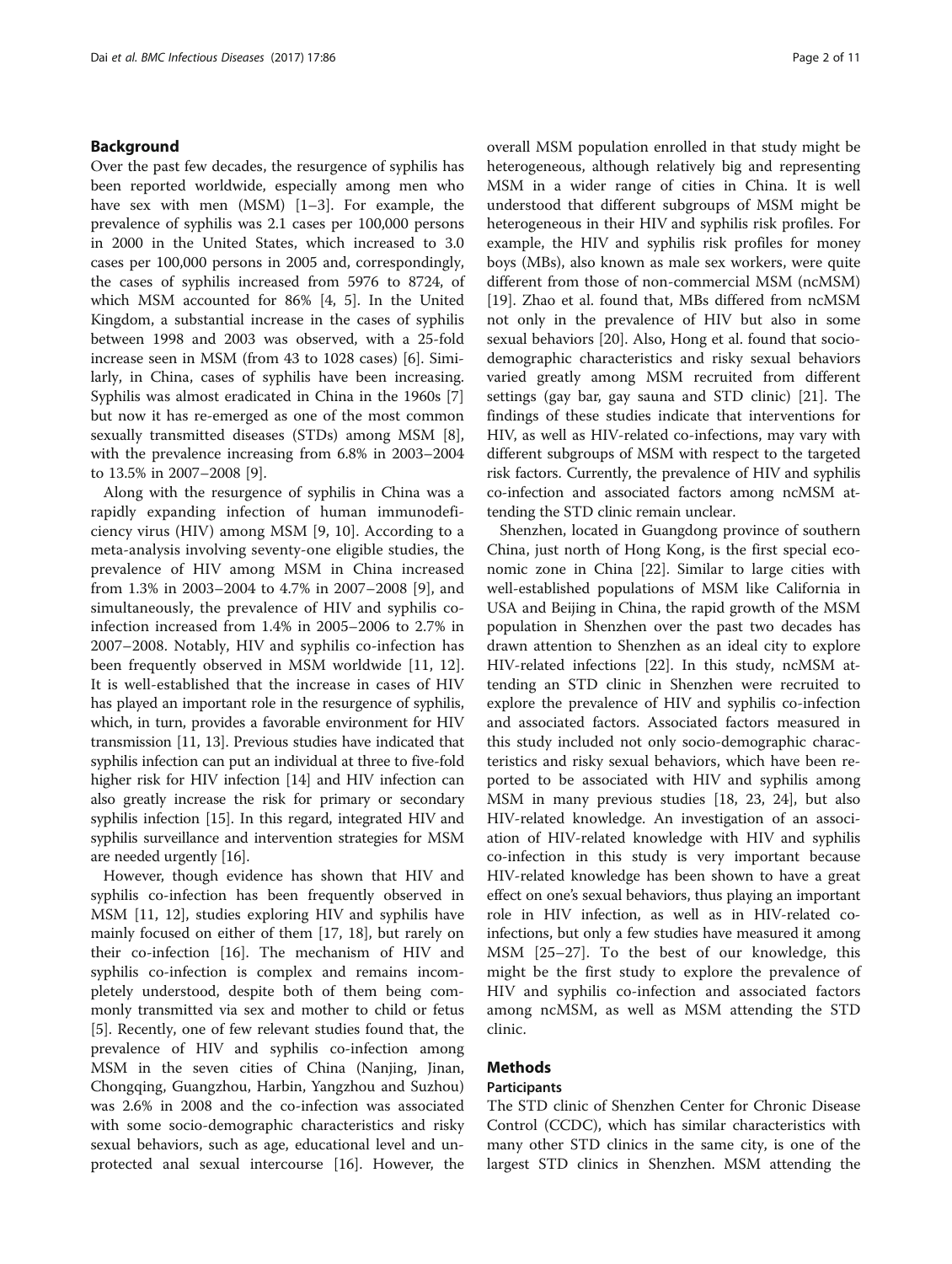# Background

Over the past few decades, the resurgence of syphilis has been reported worldwide, especially among men who have sex with men (MSM) [[1](#page-8-0)–[3\]](#page-8-0). For example, the prevalence of syphilis was 2.1 cases per 100,000 persons in 2000 in the United States, which increased to 3.0 cases per 100,000 persons in 2005 and, correspondingly, the cases of syphilis increased from 5976 to 8724, of which MSM accounted for 86% [\[4](#page-8-0), [5](#page-8-0)]. In the United Kingdom, a substantial increase in the cases of syphilis between 1998 and 2003 was observed, with a 25-fold increase seen in MSM (from 43 to 1028 cases) [\[6](#page-9-0)]. Similarly, in China, cases of syphilis have been increasing. Syphilis was almost eradicated in China in the 1960s [\[7](#page-9-0)] but now it has re-emerged as one of the most common sexually transmitted diseases (STDs) among MSM [\[8](#page-9-0)], with the prevalence increasing from 6.8% in 2003–2004 to 13.5% in 2007–2008 [[9\]](#page-9-0).

Along with the resurgence of syphilis in China was a rapidly expanding infection of human immunodeficiency virus (HIV) among MSM [[9, 10](#page-9-0)]. According to a meta-analysis involving seventy-one eligible studies, the prevalence of HIV among MSM in China increased from 1.3% in 2003–2004 to 4.7% in 2007–2008 [[9\]](#page-9-0), and simultaneously, the prevalence of HIV and syphilis coinfection increased from 1.4% in 2005–2006 to 2.7% in 2007–2008. Notably, HIV and syphilis co-infection has been frequently observed in MSM worldwide [[11, 12](#page-9-0)]. It is well-established that the increase in cases of HIV has played an important role in the resurgence of syphilis, which, in turn, provides a favorable environment for HIV transmission [[11](#page-9-0), [13\]](#page-9-0). Previous studies have indicated that syphilis infection can put an individual at three to five-fold higher risk for HIV infection [\[14\]](#page-9-0) and HIV infection can also greatly increase the risk for primary or secondary syphilis infection [[15](#page-9-0)]. In this regard, integrated HIV and syphilis surveillance and intervention strategies for MSM are needed urgently [\[16\]](#page-9-0).

However, though evidence has shown that HIV and syphilis co-infection has been frequently observed in MSM [\[11, 12](#page-9-0)], studies exploring HIV and syphilis have mainly focused on either of them [\[17](#page-9-0), [18\]](#page-9-0), but rarely on their co-infection [[16\]](#page-9-0). The mechanism of HIV and syphilis co-infection is complex and remains incompletely understood, despite both of them being commonly transmitted via sex and mother to child or fetus [[5\]](#page-8-0). Recently, one of few relevant studies found that, the prevalence of HIV and syphilis co-infection among MSM in the seven cities of China (Nanjing, Jinan, Chongqing, Guangzhou, Harbin, Yangzhou and Suzhou) was 2.6% in 2008 and the co-infection was associated with some socio-demographic characteristics and risky sexual behaviors, such as age, educational level and unprotected anal sexual intercourse [[16\]](#page-9-0). However, the overall MSM population enrolled in that study might be heterogeneous, although relatively big and representing MSM in a wider range of cities in China. It is well understood that different subgroups of MSM might be heterogeneous in their HIV and syphilis risk profiles. For example, the HIV and syphilis risk profiles for money boys (MBs), also known as male sex workers, were quite different from those of non-commercial MSM (ncMSM) [[19\]](#page-9-0). Zhao et al. found that, MBs differed from ncMSM not only in the prevalence of HIV but also in some sexual behaviors [[20\]](#page-9-0). Also, Hong et al. found that sociodemographic characteristics and risky sexual behaviors varied greatly among MSM recruited from different settings (gay bar, gay sauna and STD clinic) [[21\]](#page-9-0). The findings of these studies indicate that interventions for HIV, as well as HIV-related co-infections, may vary with different subgroups of MSM with respect to the targeted risk factors. Currently, the prevalence of HIV and syphilis co-infection and associated factors among ncMSM attending the STD clinic remain unclear.

Shenzhen, located in Guangdong province of southern China, just north of Hong Kong, is the first special economic zone in China [[22\]](#page-9-0). Similar to large cities with well-established populations of MSM like California in USA and Beijing in China, the rapid growth of the MSM population in Shenzhen over the past two decades has drawn attention to Shenzhen as an ideal city to explore HIV-related infections [\[22](#page-9-0)]. In this study, ncMSM attending an STD clinic in Shenzhen were recruited to explore the prevalence of HIV and syphilis co-infection and associated factors. Associated factors measured in this study included not only socio-demographic characteristics and risky sexual behaviors, which have been reported to be associated with HIV and syphilis among MSM in many previous studies [[18, 23, 24\]](#page-9-0), but also HIV-related knowledge. An investigation of an association of HIV-related knowledge with HIV and syphilis co-infection in this study is very important because HIV-related knowledge has been shown to have a great effect on one's sexual behaviors, thus playing an important role in HIV infection, as well as in HIV-related coinfections, but only a few studies have measured it among MSM [[25](#page-9-0)–[27\]](#page-9-0). To the best of our knowledge, this might be the first study to explore the prevalence of HIV and syphilis co-infection and associated factors among ncMSM, as well as MSM attending the STD clinic.

# Methods

# Participants

The STD clinic of Shenzhen Center for Chronic Disease Control (CCDC), which has similar characteristics with many other STD clinics in the same city, is one of the largest STD clinics in Shenzhen. MSM attending the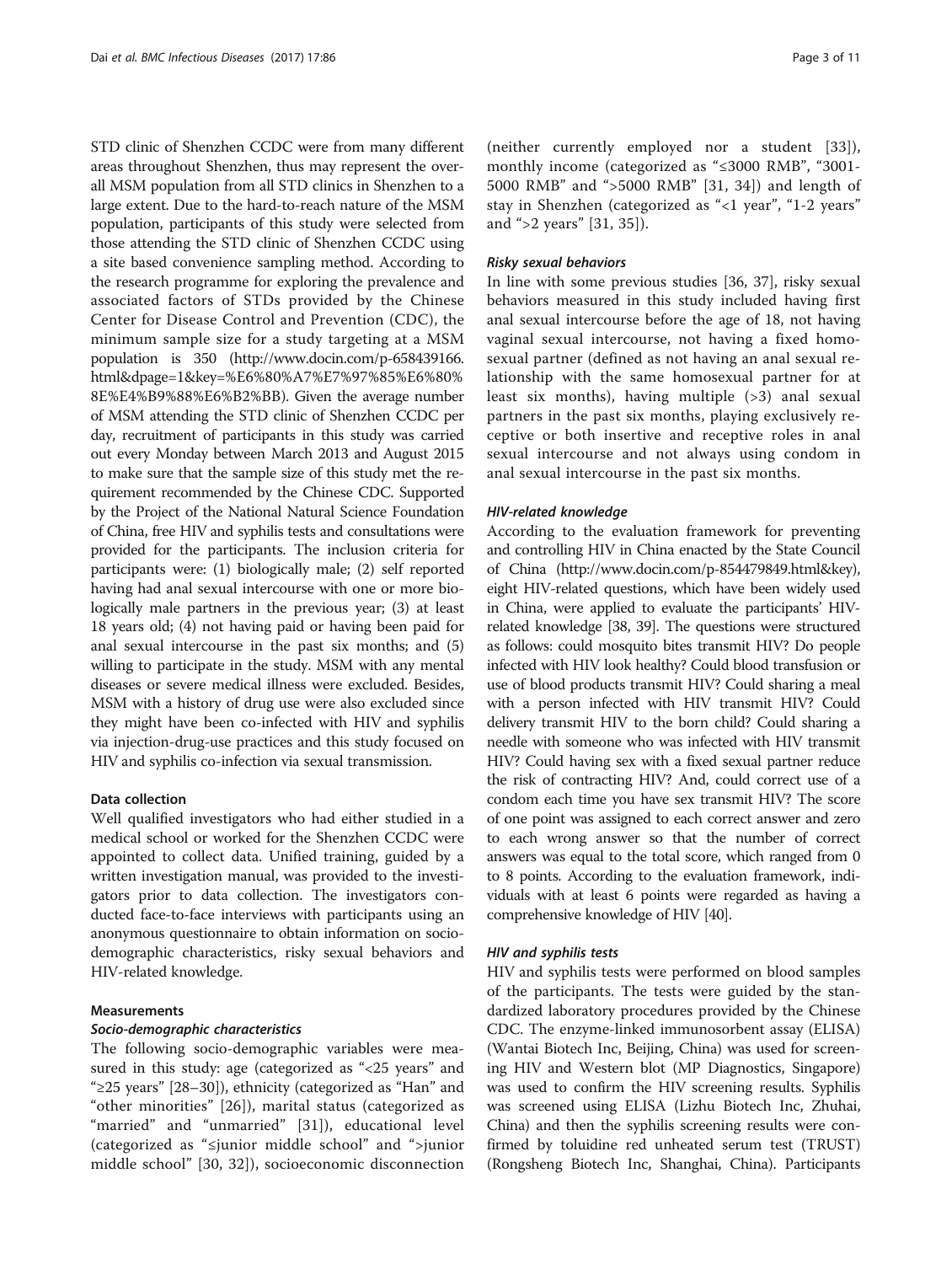STD clinic of Shenzhen CCDC were from many different areas throughout Shenzhen, thus may represent the overall MSM population from all STD clinics in Shenzhen to a large extent. Due to the hard-to-reach nature of the MSM population, participants of this study were selected from those attending the STD clinic of Shenzhen CCDC using a site based convenience sampling method. According to the research programme for exploring the prevalence and associated factors of STDs provided by the Chinese Center for Disease Control and Prevention (CDC), the minimum sample size for a study targeting at a MSM population is 350 [\(http://www.docin.com/p-658439166.](http://www.docin.com/p-658439166dpage=1&key=%E6%80%A7%E7%97%85%E6%80%8E%E4%B9%88%E6%B2%BB) [html&dpage=1&key=%E6%80%A7%E7%97%85%E6%80%](http://www.docin.com/p-658439166dpage=1&key=%E6%80%A7%E7%97%85%E6%80%8E%E4%B9%88%E6%B2%BB) [8E%E4%B9%88%E6%B2%BB\)](http://www.docin.com/p-658439166dpage=1&key=%E6%80%A7%E7%97%85%E6%80%8E%E4%B9%88%E6%B2%BB). Given the average number of MSM attending the STD clinic of Shenzhen CCDC per day, recruitment of participants in this study was carried out every Monday between March 2013 and August 2015 to make sure that the sample size of this study met the requirement recommended by the Chinese CDC. Supported by the Project of the National Natural Science Foundation of China, free HIV and syphilis tests and consultations were provided for the participants. The inclusion criteria for participants were: (1) biologically male; (2) self reported having had anal sexual intercourse with one or more biologically male partners in the previous year; (3) at least 18 years old; (4) not having paid or having been paid for anal sexual intercourse in the past six months; and (5) willing to participate in the study. MSM with any mental diseases or severe medical illness were excluded. Besides, MSM with a history of drug use were also excluded since they might have been co-infected with HIV and syphilis via injection-drug-use practices and this study focused on HIV and syphilis co-infection via sexual transmission.

# Data collection

Well qualified investigators who had either studied in a medical school or worked for the Shenzhen CCDC were appointed to collect data. Unified training, guided by a written investigation manual, was provided to the investigators prior to data collection. The investigators conducted face-to-face interviews with participants using an anonymous questionnaire to obtain information on sociodemographic characteristics, risky sexual behaviors and HIV-related knowledge.

# Measurements

# Socio-demographic characteristics

The following socio-demographic variables were measured in this study: age (categorized as "<25 years" and "≥25 years" [[28](#page-9-0)–[30](#page-9-0)]), ethnicity (categorized as "Han" and "other minorities" [[26](#page-9-0)]), marital status (categorized as "married" and "unmarried" [\[31\]](#page-9-0)), educational level (categorized as "≤junior middle school" and ">junior middle school" [[30](#page-9-0), [32](#page-9-0)]), socioeconomic disconnection

(neither currently employed nor a student [[33\]](#page-9-0)), monthly income (categorized as "≤3000 RMB", "3001- 5000 RMB" and ">5000 RMB" [[31, 34\]](#page-9-0)) and length of stay in Shenzhen (categorized as "<1 year", "1-2 years" and ">2 years" [[31, 35](#page-9-0)]).

## Risky sexual behaviors

In line with some previous studies [[36, 37](#page-9-0)], risky sexual behaviors measured in this study included having first anal sexual intercourse before the age of 18, not having vaginal sexual intercourse, not having a fixed homosexual partner (defined as not having an anal sexual relationship with the same homosexual partner for at least six months), having multiple (>3) anal sexual partners in the past six months, playing exclusively receptive or both insertive and receptive roles in anal sexual intercourse and not always using condom in anal sexual intercourse in the past six months.

#### HIV-related knowledge

According to the evaluation framework for preventing and controlling HIV in China enacted by the State Council of China [\(http://www.docin.com/p-854479849.html&key](http://www.docin.com/p-854479849.html&key)), eight HIV-related questions, which have been widely used in China, were applied to evaluate the participants' HIVrelated knowledge [\[38, 39\]](#page-9-0). The questions were structured as follows: could mosquito bites transmit HIV? Do people infected with HIV look healthy? Could blood transfusion or use of blood products transmit HIV? Could sharing a meal with a person infected with HIV transmit HIV? Could delivery transmit HIV to the born child? Could sharing a needle with someone who was infected with HIV transmit HIV? Could having sex with a fixed sexual partner reduce the risk of contracting HIV? And, could correct use of a condom each time you have sex transmit HIV? The score of one point was assigned to each correct answer and zero to each wrong answer so that the number of correct answers was equal to the total score, which ranged from 0 to 8 points. According to the evaluation framework, individuals with at least 6 points were regarded as having a comprehensive knowledge of HIV [[40](#page-9-0)].

#### HIV and syphilis tests

HIV and syphilis tests were performed on blood samples of the participants. The tests were guided by the standardized laboratory procedures provided by the Chinese CDC. The enzyme-linked immunosorbent assay (ELISA) (Wantai Biotech Inc, Beijing, China) was used for screening HIV and Western blot (MP Diagnostics, Singapore) was used to confirm the HIV screening results. Syphilis was screened using ELISA (Lizhu Biotech Inc, Zhuhai, China) and then the syphilis screening results were confirmed by toluidine red unheated serum test (TRUST) (Rongsheng Biotech Inc, Shanghai, China). Participants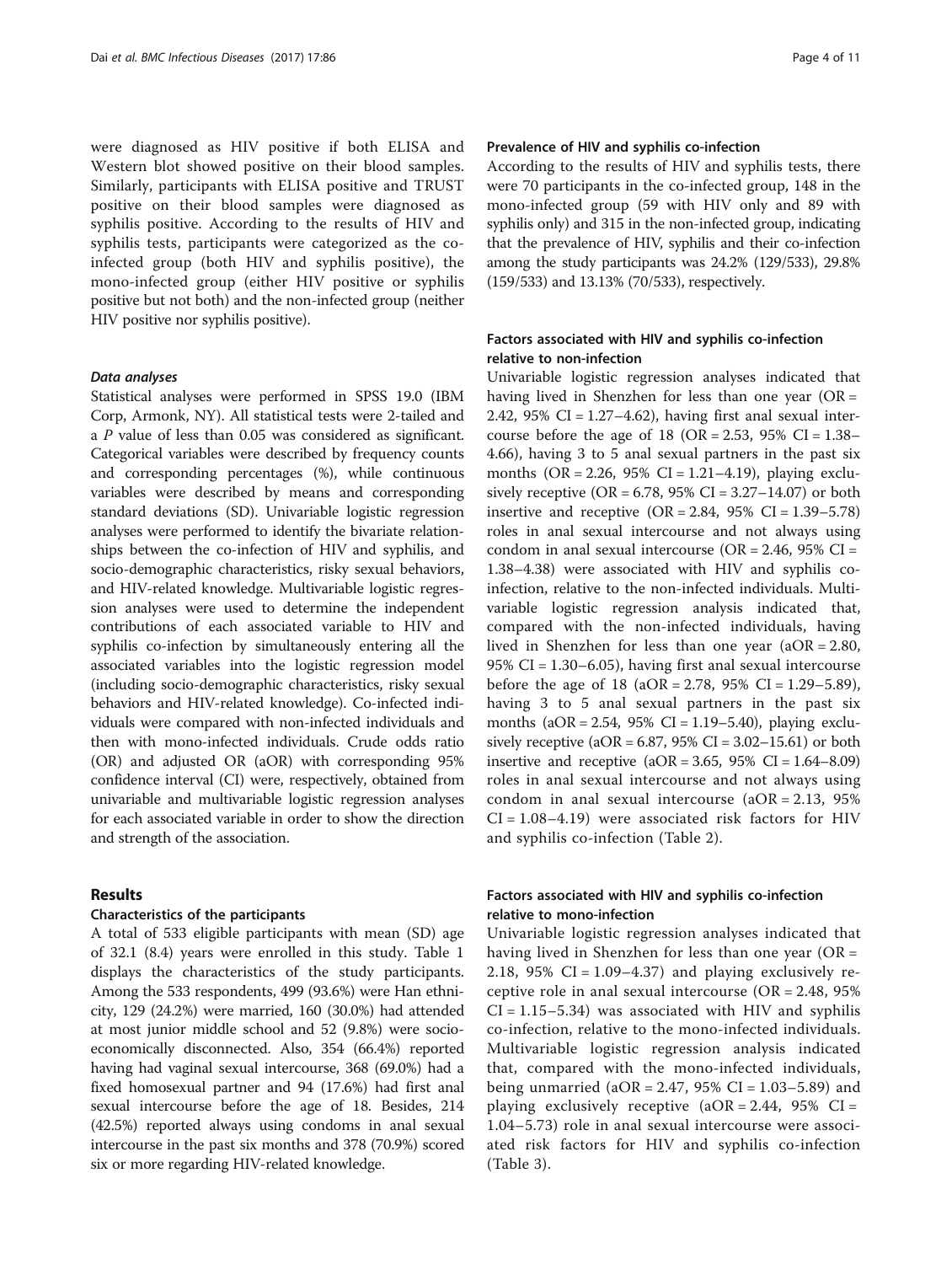were diagnosed as HIV positive if both ELISA and Western blot showed positive on their blood samples. Similarly, participants with ELISA positive and TRUST positive on their blood samples were diagnosed as syphilis positive. According to the results of HIV and syphilis tests, participants were categorized as the coinfected group (both HIV and syphilis positive), the mono-infected group (either HIV positive or syphilis positive but not both) and the non-infected group (neither HIV positive nor syphilis positive).

#### Data analyses

Statistical analyses were performed in SPSS 19.0 (IBM Corp, Armonk, NY). All statistical tests were 2-tailed and a P value of less than 0.05 was considered as significant. Categorical variables were described by frequency counts and corresponding percentages (%), while continuous variables were described by means and corresponding standard deviations (SD). Univariable logistic regression analyses were performed to identify the bivariate relationships between the co-infection of HIV and syphilis, and socio-demographic characteristics, risky sexual behaviors, and HIV-related knowledge. Multivariable logistic regression analyses were used to determine the independent contributions of each associated variable to HIV and syphilis co-infection by simultaneously entering all the associated variables into the logistic regression model (including socio-demographic characteristics, risky sexual behaviors and HIV-related knowledge). Co-infected individuals were compared with non-infected individuals and then with mono-infected individuals. Crude odds ratio (OR) and adjusted OR (aOR) with corresponding 95% confidence interval (CI) were, respectively, obtained from univariable and multivariable logistic regression analyses for each associated variable in order to show the direction and strength of the association.

# Results

# Characteristics of the participants

A total of 533 eligible participants with mean (SD) age of 32.1 (8.4) years were enrolled in this study. Table [1](#page-4-0) displays the characteristics of the study participants. Among the 533 respondents, 499 (93.6%) were Han ethnicity, 129 (24.2%) were married, 160 (30.0%) had attended at most junior middle school and 52 (9.8%) were socioeconomically disconnected. Also, 354 (66.4%) reported having had vaginal sexual intercourse, 368 (69.0%) had a fixed homosexual partner and 94 (17.6%) had first anal sexual intercourse before the age of 18. Besides, 214 (42.5%) reported always using condoms in anal sexual intercourse in the past six months and 378 (70.9%) scored six or more regarding HIV-related knowledge.

# Prevalence of HIV and syphilis co-infection

According to the results of HIV and syphilis tests, there were 70 participants in the co-infected group, 148 in the mono-infected group (59 with HIV only and 89 with syphilis only) and 315 in the non-infected group, indicating that the prevalence of HIV, syphilis and their co-infection among the study participants was 24.2% (129/533), 29.8% (159/533) and 13.13% (70/533), respectively.

# Factors associated with HIV and syphilis co-infection relative to non-infection

Univariable logistic regression analyses indicated that having lived in Shenzhen for less than one year (OR = 2.42, 95% CI = 1.27–4.62), having first anal sexual intercourse before the age of  $18$  (OR = 2.53, 95% CI = 1.38– 4.66), having 3 to 5 anal sexual partners in the past six months  $(OR = 2.26, 95\% \text{ CI} = 1.21 - 4.19)$ , playing exclusively receptive (OR =  $6.78$ ,  $95\%$  CI =  $3.27-14.07$ ) or both insertive and receptive  $(OR = 2.84, 95\% \text{ CI} = 1.39 - 5.78)$ roles in anal sexual intercourse and not always using condom in anal sexual intercourse ( $OR = 2.46$ ,  $95\%$  CI = 1.38–4.38) were associated with HIV and syphilis coinfection, relative to the non-infected individuals. Multivariable logistic regression analysis indicated that, compared with the non-infected individuals, having lived in Shenzhen for less than one year  $(aOR = 2.80,$ 95% CI = 1.30–6.05), having first anal sexual intercourse before the age of 18 (aOR = 2.78, 95% CI = 1.29–5.89), having 3 to 5 anal sexual partners in the past six months ( $aOR = 2.54$ ,  $95\%$  CI = 1.19-5.40), playing exclusively receptive  $(aOR = 6.87, 95\% CI = 3.02 - 15.61)$  or both insertive and receptive  $(aOR = 3.65, 95\% \text{ CI} = 1.64 - 8.09)$ roles in anal sexual intercourse and not always using condom in anal sexual intercourse  $(aOR = 2.13, 95\%)$  $CI = 1.08 - 4.19$ ) were associated risk factors for HIV and syphilis co-infection (Table [2\)](#page-5-0).

# Factors associated with HIV and syphilis co-infection relative to mono-infection

Univariable logistic regression analyses indicated that having lived in Shenzhen for less than one year (OR = 2.18, 95%  $CI = 1.09 - 4.37$  and playing exclusively receptive role in anal sexual intercourse (OR = 2.48, 95%  $CI = 1.15 - 5.34$ ) was associated with HIV and syphilis co-infection, relative to the mono-infected individuals. Multivariable logistic regression analysis indicated that, compared with the mono-infected individuals, being unmarried (aOR = 2.47, 95% CI =  $1.03 - 5.89$ ) and playing exclusively receptive  $(aOR = 2.44, 95\% \text{ CI} =$ 1.04–5.73) role in anal sexual intercourse were associated risk factors for HIV and syphilis co-infection (Table [3](#page-7-0)).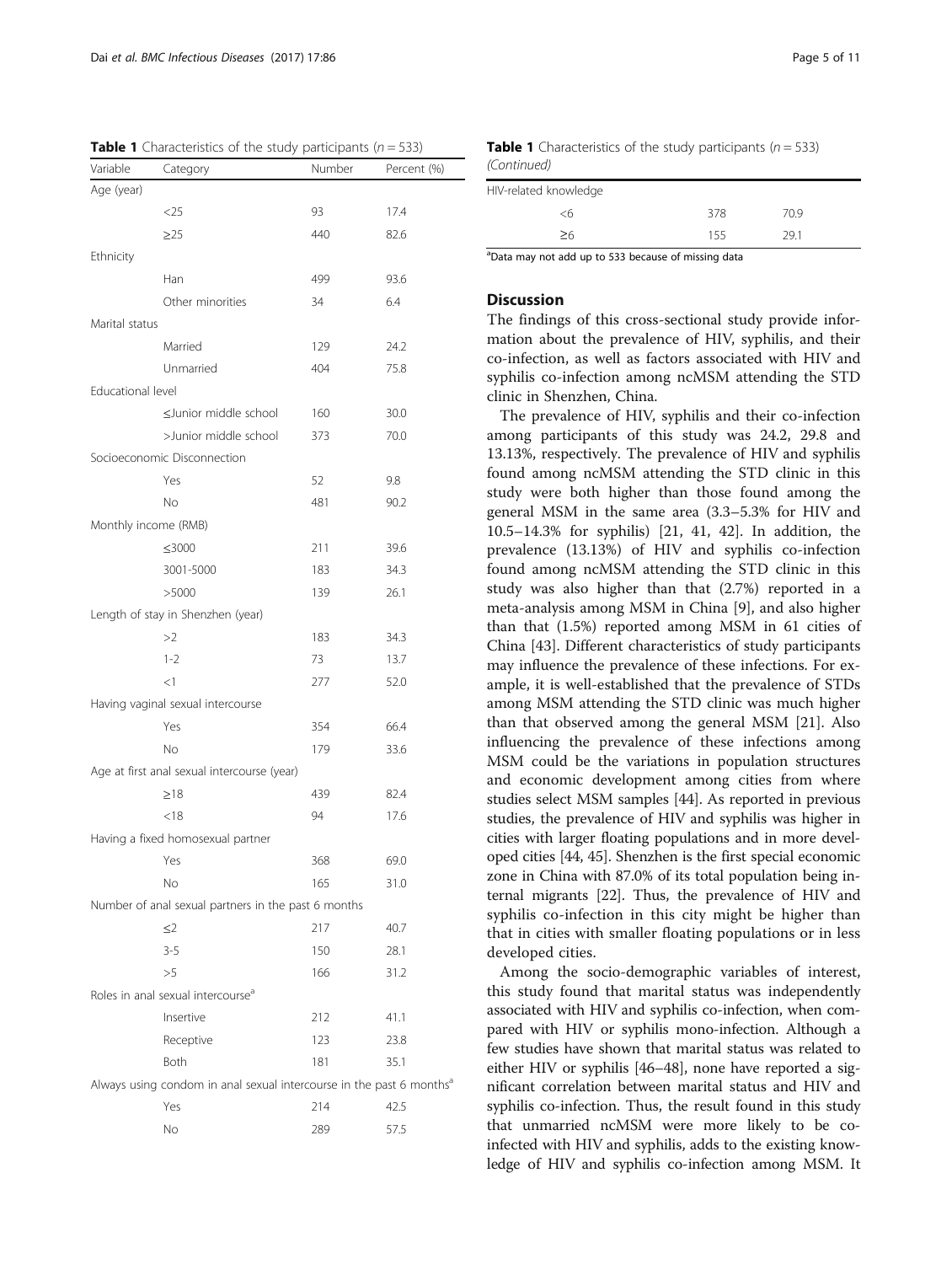Variable Category Number Percent (%) Age (year) <25 93 17.4  $\geq$ 25 440 82.6 Ethnicity Han 499 93.6 Other minorities 34 6.4 Marital status Married 129 24.2 Unmarried 404 75.8 Educational level ≤Junior middle school 160 30.0  $\frac{1}{200}$   $\frac{1}{200}$ Socioeconomic Disconnection Yes 52 9.8 No 481 90.2 Monthly income (RMB) ≤3000 211 39.6 3001-5000 183 34.3 >5000 139 26.1 Length of stay in Shenzhen (year) >2 183 34.3 1-2 73 13.7 <1 277 52.0 Having vaginal sexual intercourse Yes 354 66.4 No 179 33.6 Age at first anal sexual intercourse (year)  $≥18$  439 82.4 <18 94 17.6 Having a fixed homosexual partner Yes 368 69.0 No 165 31.0 Number of anal sexual partners in the past 6 months  $≤2$  217 40.7 3-5 150 28.1 >5 166 31.2 Roles in anal sexual intercourse<sup>8</sup> Insertive 212 41.1 Receptive 123 23.8 Both 181 35.1 Always using condom in anal sexual intercourse in the past 6 months<sup>a</sup> Yes 214 42.5 No 289 57.5

<span id="page-4-0"></span>**Table 1** Characteristics of the study participants ( $n = 533$ )

|             |  | <b>Table 1</b> Characteristics of the study participants ( $n = 533$ ) |  |
|-------------|--|------------------------------------------------------------------------|--|
| (Continued) |  |                                                                        |  |

| HIV-related knowledge |     |      |  |  |  |  |
|-----------------------|-----|------|--|--|--|--|
| <6                    | 378 | 70.9 |  |  |  |  |
| $\geq 6$              | 155 | 29.1 |  |  |  |  |

<sup>a</sup>Data may not add up to 533 because of missing data

# Discussion

The findings of this cross-sectional study provide information about the prevalence of HIV, syphilis, and their co-infection, as well as factors associated with HIV and syphilis co-infection among ncMSM attending the STD clinic in Shenzhen, China.

The prevalence of HIV, syphilis and their co-infection among participants of this study was 24.2, 29.8 and 13.13%, respectively. The prevalence of HIV and syphilis found among ncMSM attending the STD clinic in this study were both higher than those found among the general MSM in the same area (3.3–5.3% for HIV and 10.5–14.3% for syphilis) [\[21](#page-9-0), [41, 42\]](#page-9-0). In addition, the prevalence (13.13%) of HIV and syphilis co-infection found among ncMSM attending the STD clinic in this study was also higher than that (2.7%) reported in a meta-analysis among MSM in China [\[9\]](#page-9-0), and also higher than that (1.5%) reported among MSM in 61 cities of China [\[43](#page-9-0)]. Different characteristics of study participants may influence the prevalence of these infections. For example, it is well-established that the prevalence of STDs among MSM attending the STD clinic was much higher than that observed among the general MSM [[21\]](#page-9-0). Also influencing the prevalence of these infections among MSM could be the variations in population structures and economic development among cities from where studies select MSM samples [[44](#page-9-0)]. As reported in previous studies, the prevalence of HIV and syphilis was higher in cities with larger floating populations and in more developed cities [\[44, 45](#page-9-0)]. Shenzhen is the first special economic zone in China with 87.0% of its total population being internal migrants [\[22\]](#page-9-0). Thus, the prevalence of HIV and syphilis co-infection in this city might be higher than that in cities with smaller floating populations or in less developed cities.

Among the socio-demographic variables of interest, this study found that marital status was independently associated with HIV and syphilis co-infection, when compared with HIV or syphilis mono-infection. Although a few studies have shown that marital status was related to either HIV or syphilis [\[46](#page-10-0)–[48](#page-10-0)], none have reported a significant correlation between marital status and HIV and syphilis co-infection. Thus, the result found in this study that unmarried ncMSM were more likely to be coinfected with HIV and syphilis, adds to the existing knowledge of HIV and syphilis co-infection among MSM. It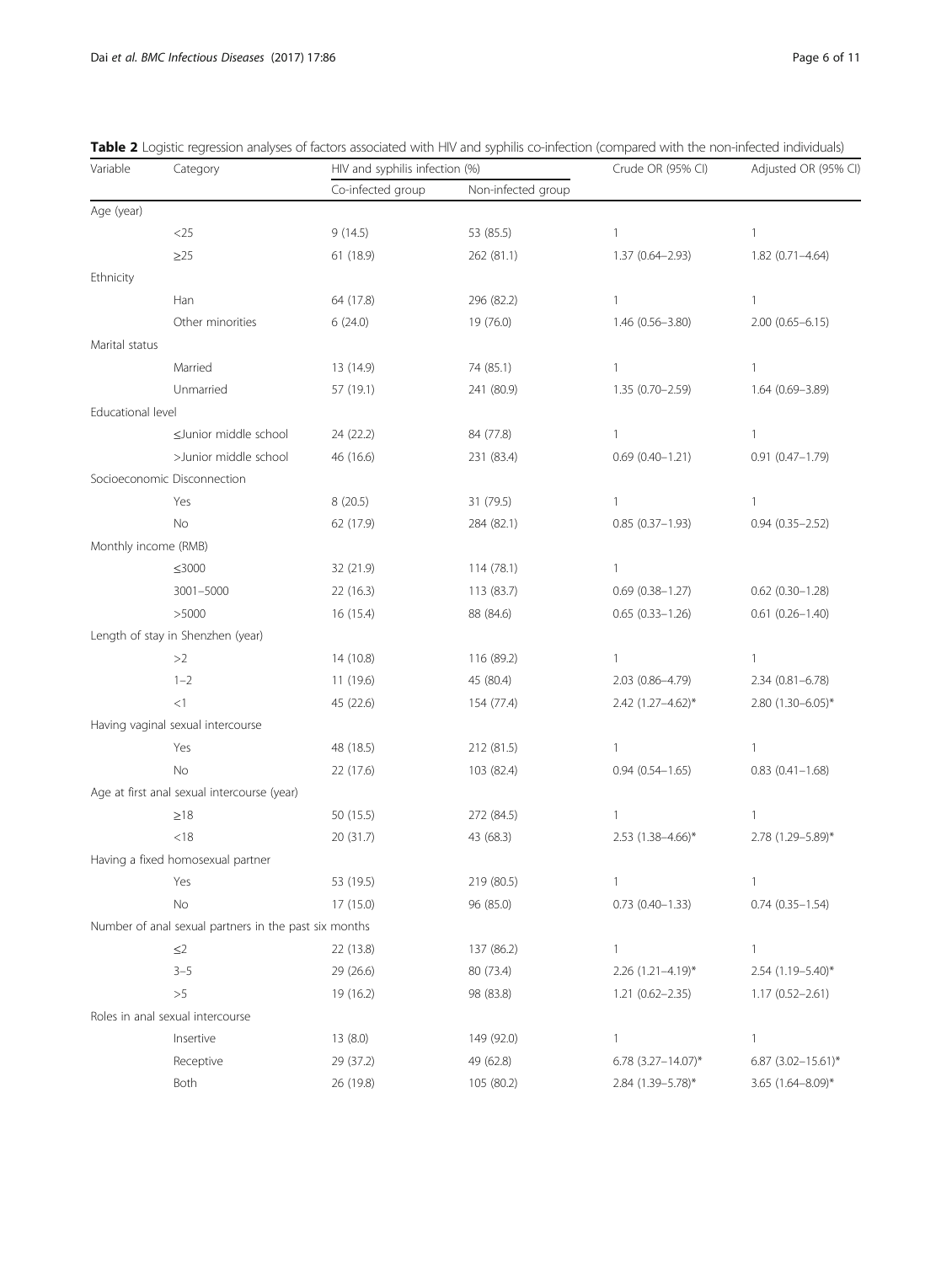| Variable             | Category                                              | HIV and syphilis infection (%) |                    | Crude OR (95% CI)      | Adjusted OR (95% CI) |
|----------------------|-------------------------------------------------------|--------------------------------|--------------------|------------------------|----------------------|
|                      |                                                       | Co-infected group              | Non-infected group |                        |                      |
| Age (year)           |                                                       |                                |                    |                        |                      |
|                      | $<25$                                                 | 9(14.5)                        | 53 (85.5)          | 1                      | 1                    |
|                      | $\geq$ 25                                             | 61 (18.9)                      | 262 (81.1)         | 1.37 (0.64-2.93)       | $1.82(0.71 - 4.64)$  |
| Ethnicity            |                                                       |                                |                    |                        |                      |
|                      | Han                                                   | 64 (17.8)                      | 296 (82.2)         | 1                      | 1                    |
|                      | Other minorities                                      | 6(24.0)                        | 19 (76.0)          | 1.46 (0.56-3.80)       | $2.00(0.65 - 6.15)$  |
| Marital status       |                                                       |                                |                    |                        |                      |
|                      | Married                                               | 13 (14.9)                      | 74 (85.1)          | 1                      | 1                    |
|                      | Unmarried                                             | 57 (19.1)                      | 241 (80.9)         | 1.35 (0.70-2.59)       | 1.64 (0.69-3.89)     |
| Educational level    |                                                       |                                |                    |                        |                      |
|                      | ≤Junior middle school                                 | 24 (22.2)                      | 84 (77.8)          | 1                      | 1                    |
|                      | >Junior middle school                                 | 46 (16.6)                      | 231 (83.4)         | $0.69(0.40 - 1.21)$    | $0.91(0.47 - 1.79)$  |
|                      | Socioeconomic Disconnection                           |                                |                    |                        |                      |
|                      | Yes                                                   | 8(20.5)                        | 31 (79.5)          | 1                      | 1                    |
|                      | No                                                    | 62 (17.9)                      | 284 (82.1)         | $0.85(0.37 - 1.93)$    | $0.94(0.35 - 2.52)$  |
| Monthly income (RMB) |                                                       |                                |                    |                        |                      |
|                      | $≤3000$                                               | 32 (21.9)                      | 114 (78.1)         | 1                      |                      |
|                      | 3001-5000                                             | 22 (16.3)                      | 113 (83.7)         | $0.69$ $(0.38 - 1.27)$ | $0.62$ $(0.30-1.28)$ |
|                      | >5000                                                 | 16(15.4)                       | 88 (84.6)          | $0.65(0.33 - 1.26)$    | $0.61(0.26 - 1.40)$  |
|                      | Length of stay in Shenzhen (year)                     |                                |                    |                        |                      |
|                      | >2                                                    | 14 (10.8)                      | 116 (89.2)         | 1                      | $\mathbf{1}$         |
|                      | $1 - 2$                                               | 11 (19.6)                      | 45 (80.4)          | 2.03 (0.86-4.79)       | 2.34 (0.81-6.78)     |
|                      | $<$ 1                                                 | 45 (22.6)                      | 154 (77.4)         | 2.42 (1.27-4.62)*      | 2.80 (1.30-6.05)*    |
|                      | Having vaginal sexual intercourse                     |                                |                    |                        |                      |
|                      | Yes                                                   | 48 (18.5)                      | 212 (81.5)         | 1                      | 1                    |
|                      | No                                                    | 22 (17.6)                      | 103 (82.4)         | $0.94(0.54 - 1.65)$    | $0.83(0.41 - 1.68)$  |
|                      | Age at first anal sexual intercourse (year)           |                                |                    |                        |                      |
|                      | $\geq 18$                                             | 50 (15.5)                      | 272 (84.5)         | 1                      | 1                    |
|                      | < 18                                                  | 20 (31.7)                      | 43 (68.3)          | 2.53 (1.38-4.66)*      | 2.78 (1.29-5.89)*    |
|                      | Having a fixed homosexual partner                     |                                |                    |                        |                      |
|                      | Yes                                                   | 53 (19.5)                      | 219 (80.5)         | 1                      | $\mathbf{1}$         |
|                      | No                                                    | 17 (15.0)                      | 96 (85.0)          | $0.73$ $(0.40 - 1.33)$ | $0.74(0.35 - 1.54)$  |
|                      | Number of anal sexual partners in the past six months |                                |                    |                        |                      |
|                      | $\leq$ 2                                              | 22 (13.8)                      | 137 (86.2)         | 1                      | 1                    |
|                      | $3 - 5$                                               | 29 (26.6)                      | 80 (73.4)          | $2.26$ (1.21-4.19)*    | 2.54 (1.19-5.40)*    |
|                      | >5                                                    | 19 (16.2)                      | 98 (83.8)          | $1.21(0.62 - 2.35)$    | $1.17(0.52 - 2.61)$  |
|                      | Roles in anal sexual intercourse                      |                                |                    |                        |                      |
|                      | Insertive                                             | 13(8.0)                        | 149 (92.0)         | 1                      | 1                    |
|                      | Receptive                                             | 29 (37.2)                      | 49 (62.8)          | 6.78 (3.27-14.07)*     | 6.87 (3.02-15.61)*   |
|                      | Both                                                  | 26 (19.8)                      | 105 (80.2)         | 2.84 (1.39-5.78)*      | 3.65 (1.64-8.09)*    |

<span id="page-5-0"></span>Table 2 Logistic regression analyses of factors associated with HIV and syphilis co-infection (compared with the non-infected individuals)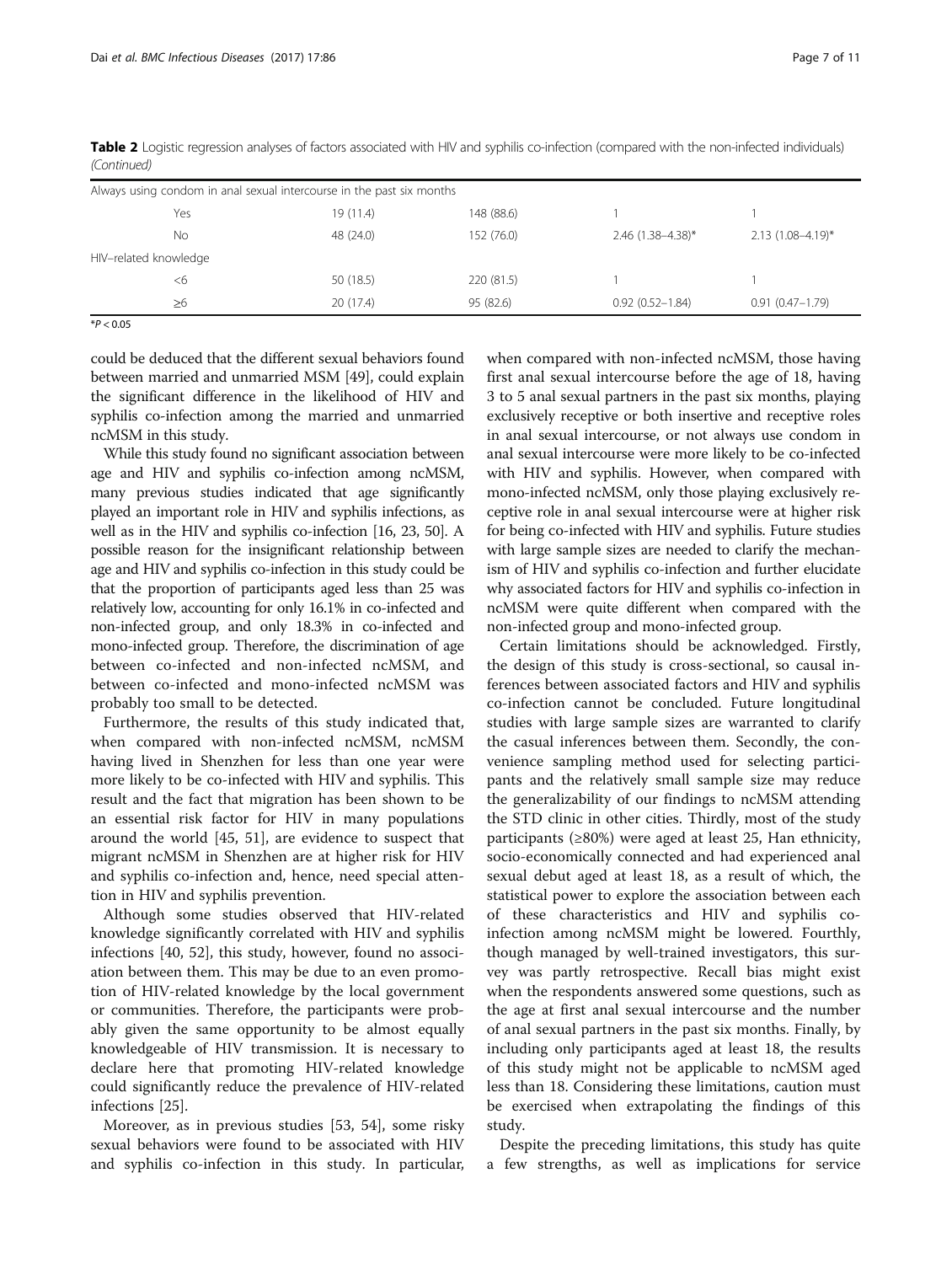| Always using condom in anal sexual intercourse in the past six months |           |            |                     |                         |
|-----------------------------------------------------------------------|-----------|------------|---------------------|-------------------------|
| Yes                                                                   | 19 (11.4) | 148 (88.6) |                     |                         |
| <b>No</b>                                                             | 48 (24.0) | 152 (76.0) | $2.46$ (1.38-4.38)* | $2.13(1.08 - 4.19)^{*}$ |
| HIV-related knowledge                                                 |           |            |                     |                         |
| <6                                                                    | 50 (18.5) | 220 (81.5) |                     |                         |
| $\geq 6$                                                              | 20 (17.4) | 95 (82.6)  | $0.92(0.52 - 1.84)$ | $0.91(0.47 - 1.79)$     |
|                                                                       |           |            |                     |                         |

Table 2 Logistic regression analyses of factors associated with HIV and syphilis co-infection (compared with the non-infected individuals) (Continued)

 $*P < 0.05$ 

could be deduced that the different sexual behaviors found between married and unmarried MSM [[49\]](#page-10-0), could explain the significant difference in the likelihood of HIV and syphilis co-infection among the married and unmarried ncMSM in this study.

While this study found no significant association between age and HIV and syphilis co-infection among ncMSM, many previous studies indicated that age significantly played an important role in HIV and syphilis infections, as well as in the HIV and syphilis co-infection [\[16, 23,](#page-9-0) [50](#page-10-0)]. A possible reason for the insignificant relationship between age and HIV and syphilis co-infection in this study could be that the proportion of participants aged less than 25 was relatively low, accounting for only 16.1% in co-infected and non-infected group, and only 18.3% in co-infected and mono-infected group. Therefore, the discrimination of age between co-infected and non-infected ncMSM, and between co-infected and mono-infected ncMSM was probably too small to be detected.

Furthermore, the results of this study indicated that, when compared with non-infected ncMSM, ncMSM having lived in Shenzhen for less than one year were more likely to be co-infected with HIV and syphilis. This result and the fact that migration has been shown to be an essential risk factor for HIV in many populations around the world [\[45](#page-9-0), [51\]](#page-10-0), are evidence to suspect that migrant ncMSM in Shenzhen are at higher risk for HIV and syphilis co-infection and, hence, need special attention in HIV and syphilis prevention.

Although some studies observed that HIV-related knowledge significantly correlated with HIV and syphilis infections [[40,](#page-9-0) [52](#page-10-0)], this study, however, found no association between them. This may be due to an even promotion of HIV-related knowledge by the local government or communities. Therefore, the participants were probably given the same opportunity to be almost equally knowledgeable of HIV transmission. It is necessary to declare here that promoting HIV-related knowledge could significantly reduce the prevalence of HIV-related infections [[25](#page-9-0)].

Moreover, as in previous studies [[53, 54\]](#page-10-0), some risky sexual behaviors were found to be associated with HIV and syphilis co-infection in this study. In particular, when compared with non-infected ncMSM, those having first anal sexual intercourse before the age of 18, having 3 to 5 anal sexual partners in the past six months, playing exclusively receptive or both insertive and receptive roles in anal sexual intercourse, or not always use condom in anal sexual intercourse were more likely to be co-infected with HIV and syphilis. However, when compared with mono-infected ncMSM, only those playing exclusively receptive role in anal sexual intercourse were at higher risk for being co-infected with HIV and syphilis. Future studies with large sample sizes are needed to clarify the mechanism of HIV and syphilis co-infection and further elucidate why associated factors for HIV and syphilis co-infection in ncMSM were quite different when compared with the non-infected group and mono-infected group.

Certain limitations should be acknowledged. Firstly, the design of this study is cross-sectional, so causal inferences between associated factors and HIV and syphilis co-infection cannot be concluded. Future longitudinal studies with large sample sizes are warranted to clarify the casual inferences between them. Secondly, the convenience sampling method used for selecting participants and the relatively small sample size may reduce the generalizability of our findings to ncMSM attending the STD clinic in other cities. Thirdly, most of the study participants (≥80%) were aged at least 25, Han ethnicity, socio-economically connected and had experienced anal sexual debut aged at least 18, as a result of which, the statistical power to explore the association between each of these characteristics and HIV and syphilis coinfection among ncMSM might be lowered. Fourthly, though managed by well-trained investigators, this survey was partly retrospective. Recall bias might exist when the respondents answered some questions, such as the age at first anal sexual intercourse and the number of anal sexual partners in the past six months. Finally, by including only participants aged at least 18, the results of this study might not be applicable to ncMSM aged less than 18. Considering these limitations, caution must be exercised when extrapolating the findings of this study.

Despite the preceding limitations, this study has quite a few strengths, as well as implications for service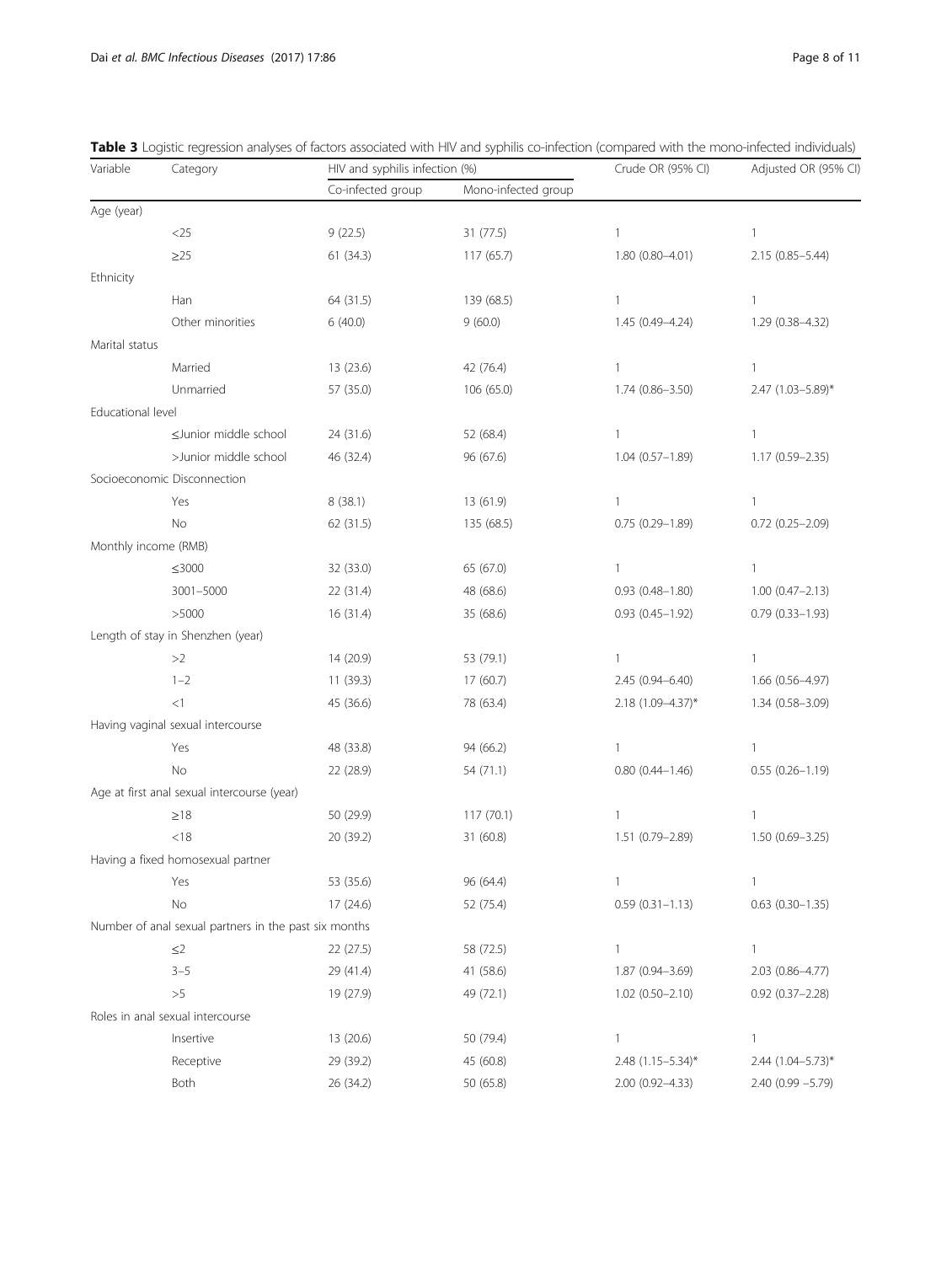| Variable          | Category                                              | HIV and syphilis infection (%) |                     | Crude OR (95% CI)   | Adjusted OR (95% CI)   |
|-------------------|-------------------------------------------------------|--------------------------------|---------------------|---------------------|------------------------|
|                   |                                                       | Co-infected group              | Mono-infected group |                     |                        |
| Age (year)        |                                                       |                                |                     |                     |                        |
|                   | $<$ 25                                                | 9(22.5)                        | 31 (77.5)           | 1                   | $\mathbf{1}$           |
|                   | $\geq$ 25                                             | 61 (34.3)                      | 117 (65.7)          | 1.80 (0.80-4.01)    | 2.15 (0.85-5.44)       |
| Ethnicity         |                                                       |                                |                     |                     |                        |
|                   | Han                                                   | 64 (31.5)                      | 139 (68.5)          | 1                   | $\mathbf{1}$           |
|                   | Other minorities                                      | 6(40.0)                        | 9(60.0)             | 1.45 (0.49-4.24)    | 1.29 (0.38-4.32)       |
| Marital status    |                                                       |                                |                     |                     |                        |
|                   | Married                                               | 13 (23.6)                      | 42 (76.4)           | 1                   | $\mathbf{1}$           |
|                   | Unmarried                                             | 57 (35.0)                      | 106 (65.0)          | 1.74 (0.86-3.50)    | 2.47 (1.03-5.89)*      |
| Educational level |                                                       |                                |                     |                     |                        |
|                   | ≤Junior middle school                                 | 24 (31.6)                      | 52 (68.4)           | 1                   | $\mathbf{1}$           |
|                   | >Junior middle school                                 | 46 (32.4)                      | 96 (67.6)           | 1.04 (0.57-1.89)    | 1.17 (0.59-2.35)       |
|                   | Socioeconomic Disconnection                           |                                |                     |                     |                        |
|                   | Yes                                                   | 8(38.1)                        | 13 (61.9)           | 1                   | $\mathbf{1}$           |
|                   | No                                                    | 62 (31.5)                      | 135 (68.5)          | $0.75(0.29 - 1.89)$ | $0.72$ $(0.25 - 2.09)$ |
|                   | Monthly income (RMB)                                  |                                |                     |                     |                        |
|                   | $≤3000$                                               | 32 (33.0)                      | 65 (67.0)           | 1                   | $\mathbf{1}$           |
|                   | 3001-5000                                             | 22 (31.4)                      | 48 (68.6)           | $0.93(0.48 - 1.80)$ | $1.00(0.47 - 2.13)$    |
|                   | >5000                                                 | 16 (31.4)                      | 35 (68.6)           | $0.93(0.45 - 1.92)$ | $0.79(0.33 - 1.93)$    |
|                   | Length of stay in Shenzhen (year)                     |                                |                     |                     |                        |
|                   | >2                                                    | 14 (20.9)                      | 53 (79.1)           | 1                   | $\mathbf{1}$           |
|                   | $1 - 2$                                               | 11(39.3)                       | 17 (60.7)           | 2.45 (0.94-6.40)    | 1.66 (0.56-4.97)       |
|                   | <1                                                    | 45 (36.6)                      | 78 (63.4)           | 2.18 (1.09-4.37)*   | 1.34 (0.58-3.09)       |
|                   | Having vaginal sexual intercourse                     |                                |                     |                     |                        |
|                   | Yes                                                   | 48 (33.8)                      | 94 (66.2)           | 1                   | $\mathbf{1}$           |
|                   | No                                                    | 22 (28.9)                      | 54 (71.1)           | $0.80(0.44 - 1.46)$ | $0.55(0.26 - 1.19)$    |
|                   | Age at first anal sexual intercourse (year)           |                                |                     |                     |                        |
|                   | $\geq 18$                                             | 50 (29.9)                      | 117 (70.1)          | 1                   | $\mathbf{1}$           |
|                   | < 18                                                  | 20 (39.2)                      | 31 (60.8)           | 1.51 (0.79-2.89)    | $1.50(0.69 - 3.25)$    |
|                   | Having a fixed homosexual partner                     |                                |                     |                     |                        |
|                   | Yes                                                   | 53 (35.6)                      | 96 (64.4)           | 1                   | $\mathbf{1}$           |
|                   | No                                                    | 17 (24.6)                      | 52 (75.4)           | $0.59(0.31 - 1.13)$ | $0.63(0.30-1.35)$      |
|                   | Number of anal sexual partners in the past six months |                                |                     |                     |                        |
|                   | $\leq$ 2                                              | 22(27.5)                       | 58 (72.5)           | 1                   | $\mathbf{1}$           |
|                   | $3 - 5$                                               | 29 (41.4)                      | 41 (58.6)           | 1.87 (0.94-3.69)    | 2.03 (0.86-4.77)       |
|                   | $>\!5$                                                | 19 (27.9)                      | 49 (72.1)           | 1.02 (0.50-2.10)    | $0.92(0.37 - 2.28)$    |
|                   | Roles in anal sexual intercourse                      |                                |                     |                     |                        |
|                   | Insertive                                             | 13 (20.6)                      | 50 (79.4)           | 1                   | $\mathbf{1}$           |
|                   | Receptive                                             | 29 (39.2)                      | 45 (60.8)           | 2.48 (1.15-5.34)*   | $2.44$ (1.04-5.73)*    |
|                   | Both                                                  | 26 (34.2)                      | 50 (65.8)           | 2.00 (0.92-4.33)    | $2.40(0.99 - 5.79)$    |

<span id="page-7-0"></span>Table 3 Logistic regression analyses of factors associated with HIV and syphilis co-infection (compared with the mono-infected individuals)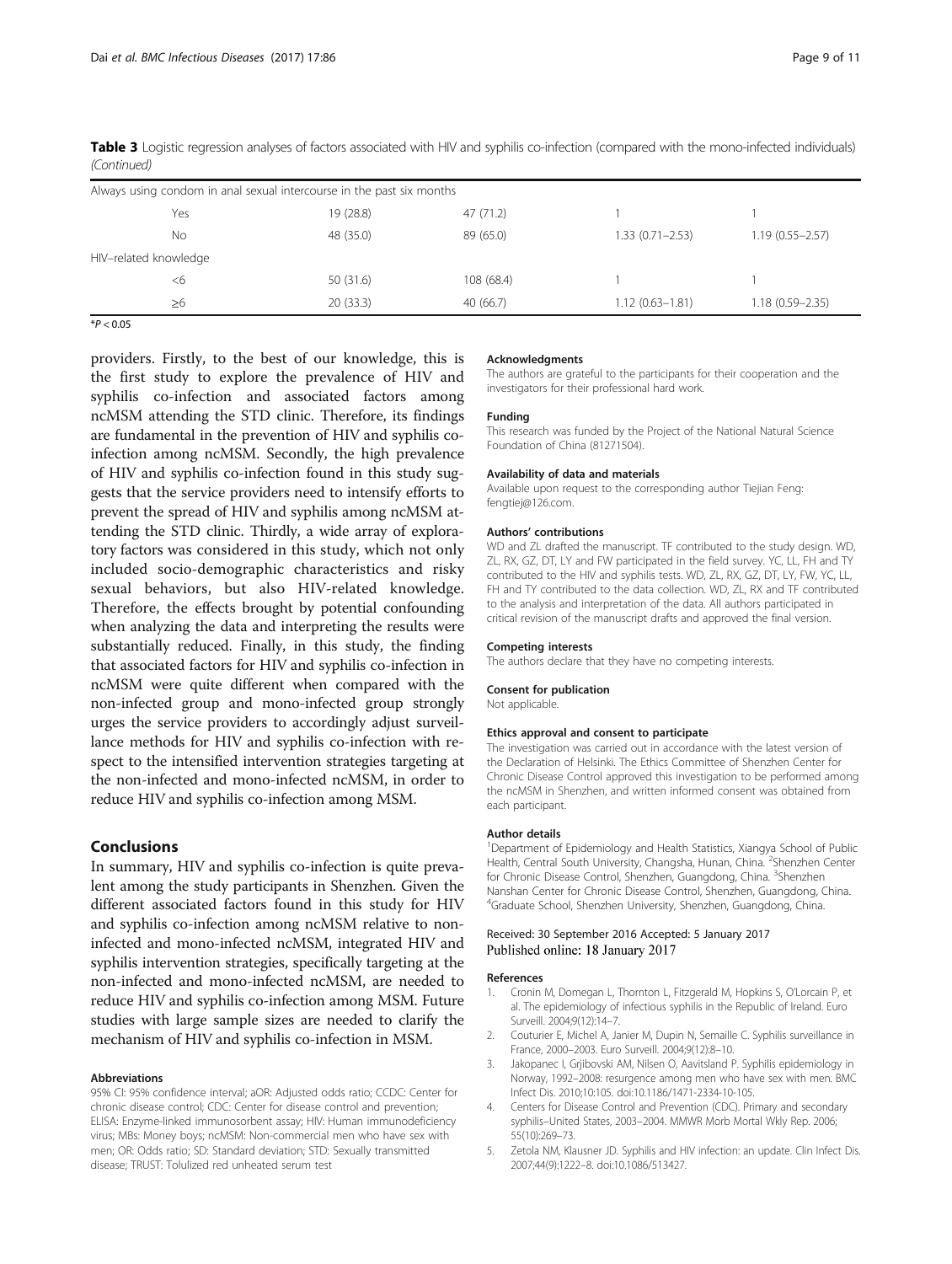| Always using condom in anal sexual intercourse in the past six months |           |            |                     |                     |  |  |
|-----------------------------------------------------------------------|-----------|------------|---------------------|---------------------|--|--|
| Yes                                                                   | 19 (28.8) | 47 (71.2)  |                     |                     |  |  |
| <b>No</b>                                                             | 48 (35.0) | 89 (65.0)  | $1.33(0.71 - 2.53)$ | $1.19(0.55 - 2.57)$ |  |  |
| HIV-related knowledge                                                 |           |            |                     |                     |  |  |
| <6                                                                    | 50(31.6)  | 108 (68.4) |                     |                     |  |  |
| $\geq 6$                                                              | 20(33.3)  | 40(66.7)   | $1.12(0.63 - 1.81)$ | $1.18(0.59 - 2.35)$ |  |  |

<span id="page-8-0"></span>Table 3 Logistic regression analyses of factors associated with HIV and syphilis co-infection (compared with the mono-infected individuals) (Continued)

 $*P < 0.05$ 

providers. Firstly, to the best of our knowledge, this is the first study to explore the prevalence of HIV and syphilis co-infection and associated factors among ncMSM attending the STD clinic. Therefore, its findings are fundamental in the prevention of HIV and syphilis coinfection among ncMSM. Secondly, the high prevalence of HIV and syphilis co-infection found in this study suggests that the service providers need to intensify efforts to prevent the spread of HIV and syphilis among ncMSM attending the STD clinic. Thirdly, a wide array of exploratory factors was considered in this study, which not only included socio-demographic characteristics and risky sexual behaviors, but also HIV-related knowledge. Therefore, the effects brought by potential confounding when analyzing the data and interpreting the results were substantially reduced. Finally, in this study, the finding that associated factors for HIV and syphilis co-infection in ncMSM were quite different when compared with the non-infected group and mono-infected group strongly urges the service providers to accordingly adjust surveillance methods for HIV and syphilis co-infection with respect to the intensified intervention strategies targeting at the non-infected and mono-infected ncMSM, in order to reduce HIV and syphilis co-infection among MSM.

# Conclusions

In summary, HIV and syphilis co-infection is quite prevalent among the study participants in Shenzhen. Given the different associated factors found in this study for HIV and syphilis co-infection among ncMSM relative to noninfected and mono-infected ncMSM, integrated HIV and syphilis intervention strategies, specifically targeting at the non-infected and mono-infected ncMSM, are needed to reduce HIV and syphilis co-infection among MSM. Future studies with large sample sizes are needed to clarify the mechanism of HIV and syphilis co-infection in MSM.

#### Abbreviations

95% CI: 95% confidence interval; aOR: Adjusted odds ratio; CCDC: Center for chronic disease control; CDC: Center for disease control and prevention; ELISA: Enzyme-linked immunosorbent assay; HIV: Human immunodeficiency virus; MBs: Money boys; ncMSM: Non-commercial men who have sex with men; OR: Odds ratio; SD: Standard deviation; STD: Sexually transmitted disease; TRUST: Tolulized red unheated serum test

#### Acknowledgments

The authors are grateful to the participants for their cooperation and the investigators for their professional hard work.

#### Funding

This research was funded by the Project of the National Natural Science Foundation of China (81271504).

# Availability of data and materials

Available upon request to the corresponding author Tiejian Feng: fengtiej@126.com.

# Authors' contributions

WD and ZL drafted the manuscript. TF contributed to the study design. WD, ZL, RX, GZ, DT, LY and FW participated in the field survey. YC, LL, FH and TY contributed to the HIV and syphilis tests. WD, ZL, RX, GZ, DT, LY, FW, YC, LL, FH and TY contributed to the data collection. WD, ZL, RX and TF contributed to the analysis and interpretation of the data. All authors participated in critical revision of the manuscript drafts and approved the final version.

#### Competing interests

The authors declare that they have no competing interests.

#### Consent for publication

Not applicable.

#### Ethics approval and consent to participate

The investigation was carried out in accordance with the latest version of the Declaration of Helsinki. The Ethics Committee of Shenzhen Center for Chronic Disease Control approved this investigation to be performed among the ncMSM in Shenzhen, and written informed consent was obtained from each participant.

#### Author details

<sup>1</sup>Department of Epidemiology and Health Statistics, Xiangya School of Public Health, Central South University, Changsha, Hunan, China. <sup>2</sup>Shenzhen Center for Chronic Disease Control, Shenzhen, Guangdong, China. <sup>3</sup>Shenzhen Nanshan Center for Chronic Disease Control, Shenzhen, Guangdong, China. 4 Graduate School, Shenzhen University, Shenzhen, Guangdong, China.

# Received: 30 September 2016 Accepted: 5 January 2017 Published online: 18 January 2017

#### References

- 1. Cronin M, Domegan L, Thornton L, Fitzgerald M, Hopkins S, O'Lorcain P, et al. The epidemiology of infectious syphilis in the Republic of Ireland. Euro Surveill. 2004;9(12):14–7.
- 2. Couturier E, Michel A, Janier M, Dupin N, Semaille C. Syphilis surveillance in France, 2000–2003. Euro Surveill. 2004;9(12):8–10.
- 3. Jakopanec I, Grjibovski AM, Nilsen O, Aavitsland P. Syphilis epidemiology in Norway, 1992–2008: resurgence among men who have sex with men. BMC Infect Dis. 2010;10:105. doi[:10.1186/1471-2334-10-105](http://dx.doi.org/10.1186/1471-2334-10-105).
- 4. Centers for Disease Control and Prevention (CDC). Primary and secondary syphilis–United States, 2003–2004. MMWR Morb Mortal Wkly Rep. 2006; 55(10):269–73.
- 5. Zetola NM, Klausner JD. Syphilis and HIV infection: an update. Clin Infect Dis. 2007;44(9):1222–8. doi:[10.1086/513427.](http://dx.doi.org/10.1086/513427)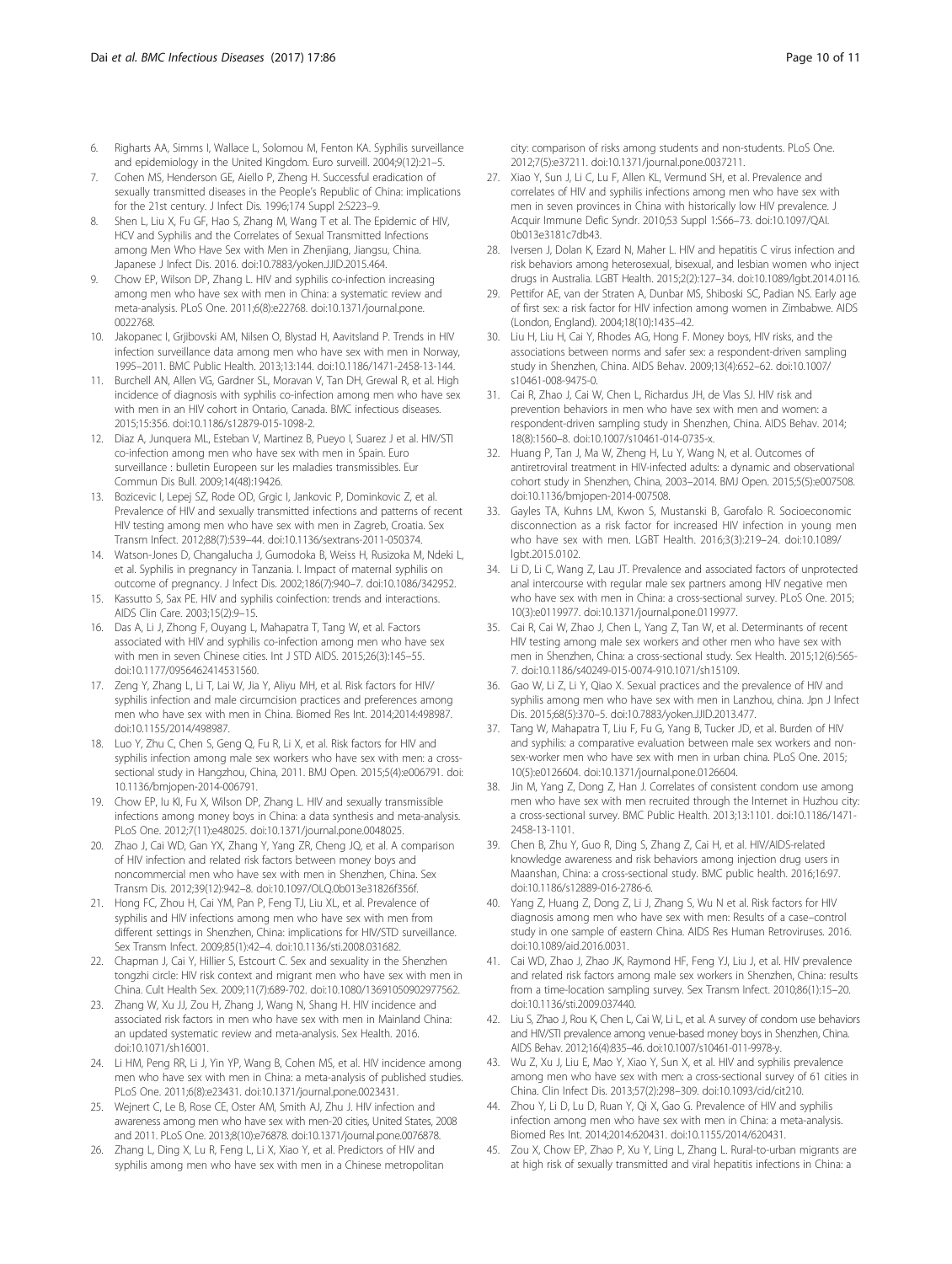- <span id="page-9-0"></span>6. Righarts AA, Simms I, Wallace L, Solomou M, Fenton KA. Syphilis surveillance and epidemiology in the United Kingdom. Euro surveill. 2004;9(12):21–5.
- 7. Cohen MS, Henderson GE, Aiello P, Zheng H. Successful eradication of sexually transmitted diseases in the People's Republic of China: implications for the 21st century. J Infect Dis. 1996;174 Suppl 2:S223–9.
- 8. Shen L, Liu X, Fu GF, Hao S, Zhang M, Wang T et al. The Epidemic of HIV, HCV and Syphilis and the Correlates of Sexual Transmitted Infections among Men Who Have Sex with Men in Zhenjiang, Jiangsu, China. Japanese J Infect Dis. 2016. doi:[10.7883/yoken.JJID.2015.464](http://dx.doi.org/10.7883/yoken.JJID.2015.464).
- 9. Chow EP, Wilson DP, Zhang L. HIV and syphilis co-infection increasing among men who have sex with men in China: a systematic review and meta-analysis. PLoS One. 2011;6(8):e22768. doi:[10.1371/journal.pone.](http://dx.doi.org/10.1371/journal.pone.0022768) [0022768.](http://dx.doi.org/10.1371/journal.pone.0022768)
- 10. Jakopanec I, Grjibovski AM, Nilsen O, Blystad H, Aavitsland P. Trends in HIV infection surveillance data among men who have sex with men in Norway, 1995–2011. BMC Public Health. 2013;13:144. doi:[10.1186/1471-2458-13-144.](http://dx.doi.org/10.1186/1471-2458-13-144)
- 11. Burchell AN, Allen VG, Gardner SL, Moravan V, Tan DH, Grewal R, et al. High incidence of diagnosis with syphilis co-infection among men who have sex with men in an HIV cohort in Ontario, Canada. BMC infectious diseases. 2015;15:356. doi[:10.1186/s12879-015-1098-2.](http://dx.doi.org/10.1186/s12879-015-1098-2)
- 12. Diaz A, Junquera ML, Esteban V, Martinez B, Pueyo I, Suarez J et al. HIV/STI co-infection among men who have sex with men in Spain. Euro surveillance : bulletin Europeen sur les maladies transmissibles. Eur Commun Dis Bull. 2009;14(48):19426.
- Bozicevic I, Lepej SZ, Rode OD, Grgic I, Jankovic P, Dominkovic Z, et al. Prevalence of HIV and sexually transmitted infections and patterns of recent HIV testing among men who have sex with men in Zagreb, Croatia. Sex Transm Infect. 2012;88(7):539–44. doi:[10.1136/sextrans-2011-050374](http://dx.doi.org/10.1136/sextrans-2011-050374).
- 14. Watson-Jones D, Changalucha J, Gumodoka B, Weiss H, Rusizoka M, Ndeki L, et al. Syphilis in pregnancy in Tanzania. I. Impact of maternal syphilis on outcome of pregnancy. J Infect Dis. 2002;186(7):940–7. doi:[10.1086/342952](http://dx.doi.org/10.1086/342952).
- 15. Kassutto S, Sax PE. HIV and syphilis coinfection: trends and interactions. AIDS Clin Care. 2003;15(2):9–15.
- 16. Das A, Li J, Zhong F, Ouyang L, Mahapatra T, Tang W, et al. Factors associated with HIV and syphilis co-infection among men who have sex with men in seven Chinese cities. Int J STD AIDS. 2015;26(3):145–55. doi[:10.1177/0956462414531560.](http://dx.doi.org/10.1177/0956462414531560)
- 17. Zeng Y, Zhang L, Li T, Lai W, Jia Y, Aliyu MH, et al. Risk factors for HIV/ syphilis infection and male circumcision practices and preferences among men who have sex with men in China. Biomed Res Int. 2014;2014:498987. doi[:10.1155/2014/498987.](http://dx.doi.org/10.1155/2014/498987)
- 18. Luo Y, Zhu C, Chen S, Geng Q, Fu R, Li X, et al. Risk factors for HIV and syphilis infection among male sex workers who have sex with men: a crosssectional study in Hangzhou, China, 2011. BMJ Open. 2015;5(4):e006791. doi: [10.1136/bmjopen-2014-006791](http://dx.doi.org/10.1136/bmjopen-2014-006791).
- 19. Chow EP, Iu KI, Fu X, Wilson DP, Zhang L. HIV and sexually transmissible infections among money boys in China: a data synthesis and meta-analysis. PLoS One. 2012;7(11):e48025. doi:[10.1371/journal.pone.0048025.](http://dx.doi.org/10.1371/journal.pone.0048025)
- 20. Zhao J, Cai WD, Gan YX, Zhang Y, Yang ZR, Cheng JQ, et al. A comparison of HIV infection and related risk factors between money boys and noncommercial men who have sex with men in Shenzhen, China. Sex Transm Dis. 2012;39(12):942–8. doi:[10.1097/OLQ.0b013e31826f356f.](http://dx.doi.org/10.1097/OLQ.0b013e31826f356f)
- 21. Hong FC, Zhou H, Cai YM, Pan P, Feng TJ, Liu XL, et al. Prevalence of syphilis and HIV infections among men who have sex with men from different settings in Shenzhen, China: implications for HIV/STD surveillance. Sex Transm Infect. 2009;85(1):42–4. doi:[10.1136/sti.2008.031682.](http://dx.doi.org/10.1136/sti.2008.031682)
- 22. Chapman J, Cai Y, Hillier S, Estcourt C. Sex and sexuality in the Shenzhen tongzhi circle: HIV risk context and migrant men who have sex with men in China. Cult Health Sex. 2009;11(7):689-702. doi:[10.1080/13691050902977562.](http://dx.doi.org/10.1080/13691050902977562)
- 23. Zhang W, Xu JJ, Zou H, Zhang J, Wang N, Shang H. HIV incidence and associated risk factors in men who have sex with men in Mainland China: an updated systematic review and meta-analysis. Sex Health. 2016. doi[:10.1071/sh16001.](http://dx.doi.org/10.1071/sh16001)
- 24. Li HM, Peng RR, Li J, Yin YP, Wang B, Cohen MS, et al. HIV incidence among men who have sex with men in China: a meta-analysis of published studies. PLoS One. 2011;6(8):e23431. doi:[10.1371/journal.pone.0023431](http://dx.doi.org/10.1371/journal.pone.0023431).
- 25. Wejnert C, Le B, Rose CE, Oster AM, Smith AJ, Zhu J. HIV infection and awareness among men who have sex with men-20 cities, United States, 2008 and 2011. PLoS One. 2013;8(10):e76878. doi[:10.1371/journal.pone.0076878.](http://dx.doi.org/10.1371/journal.pone.0076878)
- 26. Zhang L, Ding X, Lu R, Feng L, Li X, Xiao Y, et al. Predictors of HIV and syphilis among men who have sex with men in a Chinese metropolitan

city: comparison of risks among students and non-students. PLoS One. 2012;7(5):e37211. doi[:10.1371/journal.pone.0037211](http://dx.doi.org/10.1371/journal.pone.0037211).

- 27. Xiao Y, Sun J, Li C, Lu F, Allen KL, Vermund SH, et al. Prevalence and correlates of HIV and syphilis infections among men who have sex with men in seven provinces in China with historically low HIV prevalence. J Acquir Immune Defic Syndr. 2010;53 Suppl 1:S66–73. doi[:10.1097/QAI.](http://dx.doi.org/10.1097/QAI.0b013e3181c7db43) [0b013e3181c7db43](http://dx.doi.org/10.1097/QAI.0b013e3181c7db43).
- 28. Iversen J, Dolan K, Ezard N, Maher L. HIV and hepatitis C virus infection and risk behaviors among heterosexual, bisexual, and lesbian women who inject drugs in Australia. LGBT Health. 2015;2(2):127–34. doi:[10.1089/lgbt.2014.0116.](http://dx.doi.org/10.1089/lgbt.2014.0116)
- 29. Pettifor AE, van der Straten A, Dunbar MS, Shiboski SC, Padian NS. Early age of first sex: a risk factor for HIV infection among women in Zimbabwe. AIDS (London, England). 2004;18(10):1435–42.
- 30. Liu H, Liu H, Cai Y, Rhodes AG, Hong F. Money boys, HIV risks, and the associations between norms and safer sex: a respondent-driven sampling study in Shenzhen, China. AIDS Behav. 2009;13(4):652–62. doi:[10.1007/](http://dx.doi.org/10.1007/s10461-008-9475-0) [s10461-008-9475-0.](http://dx.doi.org/10.1007/s10461-008-9475-0)
- 31. Cai R, Zhao J, Cai W, Chen L, Richardus JH, de Vlas SJ. HIV risk and prevention behaviors in men who have sex with men and women: a respondent-driven sampling study in Shenzhen, China. AIDS Behav. 2014; 18(8):1560–8. doi[:10.1007/s10461-014-0735-x](http://dx.doi.org/10.1007/s10461-014-0735-x).
- 32. Huang P, Tan J, Ma W, Zheng H, Lu Y, Wang N, et al. Outcomes of antiretroviral treatment in HIV-infected adults: a dynamic and observational cohort study in Shenzhen, China, 2003–2014. BMJ Open. 2015;5(5):e007508. doi[:10.1136/bmjopen-2014-007508](http://dx.doi.org/10.1136/bmjopen-2014-007508).
- 33. Gayles TA, Kuhns LM, Kwon S, Mustanski B, Garofalo R. Socioeconomic disconnection as a risk factor for increased HIV infection in young men who have sex with men. LGBT Health. 2016;3(3):219–24. doi:[10.1089/](http://dx.doi.org/10.1089/lgbt.2015.0102) [lgbt.2015.0102.](http://dx.doi.org/10.1089/lgbt.2015.0102)
- 34. Li D, Li C, Wang Z, Lau JT. Prevalence and associated factors of unprotected anal intercourse with regular male sex partners among HIV negative men who have sex with men in China: a cross-sectional survey. PLoS One. 2015; 10(3):e0119977. doi:[10.1371/journal.pone.0119977.](http://dx.doi.org/10.1371/journal.pone.0119977)
- 35. Cai R, Cai W, Zhao J, Chen L, Yang Z, Tan W, et al. Determinants of recent HIV testing among male sex workers and other men who have sex with men in Shenzhen, China: a cross-sectional study. Sex Health. 2015;12(6):565- 7. doi:[10.1186/s40249-015-0074-910.1071/sh15109.](http://dx.doi.org/10.1186/s40249-015-0074-910.1071/sh15109)
- 36. Gao W, Li Z, Li Y, Qiao X. Sexual practices and the prevalence of HIV and syphilis among men who have sex with men in Lanzhou, china. Jpn J Infect Dis. 2015;68(5):370–5. doi:[10.7883/yoken.JJID.2013.477](http://dx.doi.org/10.7883/yoken.JJID.2013.477).
- 37. Tang W, Mahapatra T, Liu F, Fu G, Yang B, Tucker JD, et al. Burden of HIV and syphilis: a comparative evaluation between male sex workers and nonsex-worker men who have sex with men in urban china. PLoS One. 2015; 10(5):e0126604. doi:[10.1371/journal.pone.0126604.](http://dx.doi.org/10.1371/journal.pone.0126604)
- 38. Jin M, Yang Z, Dong Z, Han J. Correlates of consistent condom use among men who have sex with men recruited through the Internet in Huzhou city: a cross-sectional survey. BMC Public Health. 2013;13:1101. doi[:10.1186/1471-](http://dx.doi.org/10.1186/1471-2458-13-1101) [2458-13-1101](http://dx.doi.org/10.1186/1471-2458-13-1101).
- 39. Chen B, Zhu Y, Guo R, Ding S, Zhang Z, Cai H, et al. HIV/AIDS-related knowledge awareness and risk behaviors among injection drug users in Maanshan, China: a cross-sectional study. BMC public health. 2016;16:97. doi[:10.1186/s12889-016-2786-6](http://dx.doi.org/10.1186/s12889-016-2786-6).
- 40. Yang Z, Huang Z, Dong Z, Li J, Zhang S, Wu N et al. Risk factors for HIV diagnosis among men who have sex with men: Results of a case–control study in one sample of eastern China. AIDS Res Human Retroviruses. 2016. doi[:10.1089/aid.2016.0031](http://dx.doi.org/10.1089/aid.2016.0031).
- 41. Cai WD, Zhao J, Zhao JK, Raymond HF, Feng YJ, Liu J, et al. HIV prevalence and related risk factors among male sex workers in Shenzhen, China: results from a time-location sampling survey. Sex Transm Infect. 2010;86(1):15–20. doi[:10.1136/sti.2009.037440.](http://dx.doi.org/10.1136/sti.2009.037440)
- 42. Liu S, Zhao J, Rou K, Chen L, Cai W, Li L, et al. A survey of condom use behaviors and HIV/STI prevalence among venue-based money boys in Shenzhen, China. AIDS Behav. 2012;16(4):835–46. doi:[10.1007/s10461-011-9978-y.](http://dx.doi.org/10.1007/s10461-011-9978-y)
- 43. Wu Z, Xu J, Liu E, Mao Y, Xiao Y, Sun X, et al. HIV and syphilis prevalence among men who have sex with men: a cross-sectional survey of 61 cities in China. Clin Infect Dis. 2013;57(2):298–309. doi:[10.1093/cid/cit210.](http://dx.doi.org/10.1093/cid/cit210)
- 44. Zhou Y, Li D, Lu D, Ruan Y, Qi X, Gao G. Prevalence of HIV and syphilis infection among men who have sex with men in China: a meta-analysis. Biomed Res Int. 2014;2014:620431. doi:[10.1155/2014/620431.](http://dx.doi.org/10.1155/2014/620431)
- 45. Zou X, Chow EP, Zhao P, Xu Y, Ling L, Zhang L. Rural-to-urban migrants are at high risk of sexually transmitted and viral hepatitis infections in China: a